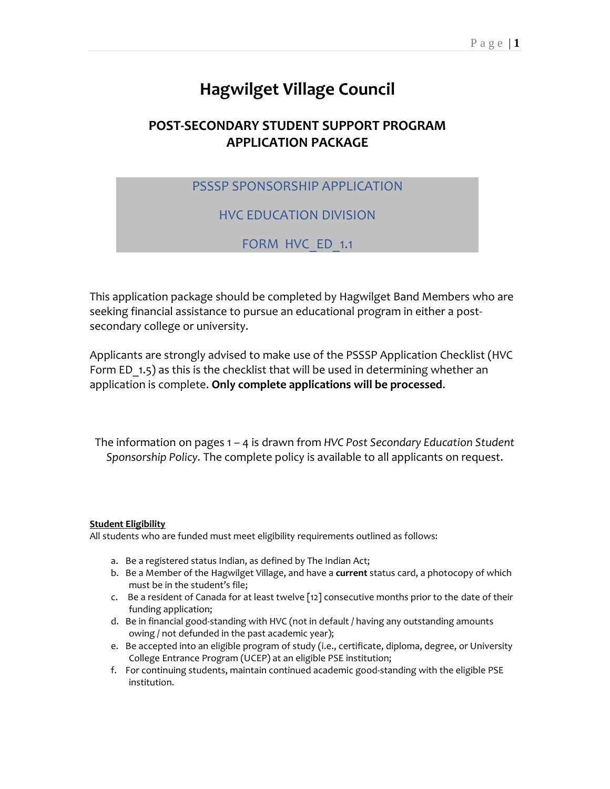# **Hagwilget Village Council**

# **POST-SECONDARY STUDENT SUPPORT PROGRAM APPLICATION PACKAGE**

# PSSSP SPONSORSHIP APPLICATION

# HVC EDUCATION DIVISION

# FORM HVC ED 1.1

This application package should be completed by Hagwilget Band Members who are seeking financial assistance to pursue an educational program in either a postsecondary college or university.

Applicants are strongly advised to make use of the PSSSP Application Checklist (HVC Form ED 1.5) as this is the checklist that will be used in determining whether an application is complete. **Only complete applications will be processed**.

The information on pages 1 – 4 is drawn from *HVC Post Secondary Education Student Sponsorship Policy.* The complete policy is available to all applicants on request.

#### **Student Eligibility**

All students who are funded must meet eligibility requirements outlined as follows:

- a. Be a registered status Indian, as defined by The Indian Act;
- b. Be a Member of the Hagwilget Village, and have a **current** status card, a photocopy of which must be in the student's file;
- c. Be a resident of Canada for at least twelve [12] consecutive months prior to the date of their funding application;
- d. Be in financial good-standing with HVC (not in default / having any outstanding amounts owing / not defunded in the past academic year);
- e. Be accepted into an eligible program of study (i.e., certificate, diploma, degree, or University College Entrance Program (UCEP) at an eligible PSE institution;
- f. For continuing students, maintain continued academic good-standing with the eligible PSE institution.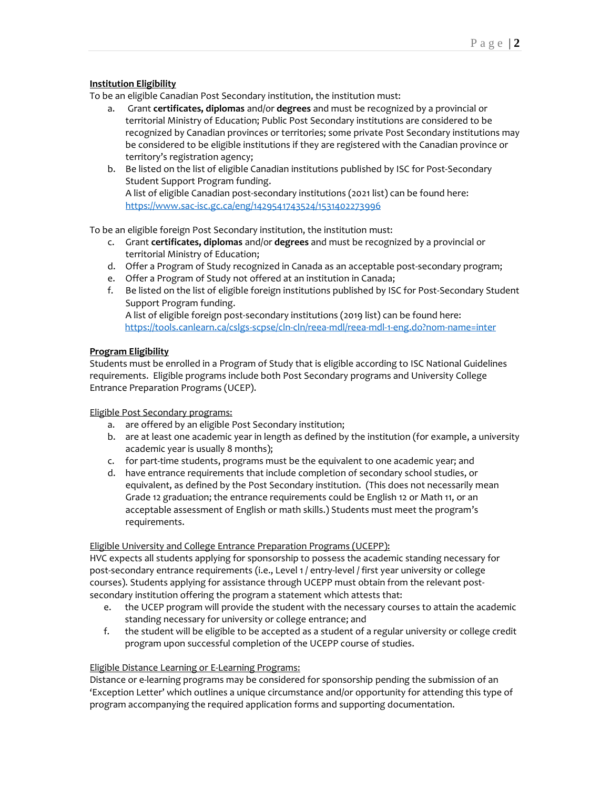#### **Institution Eligibility**

To be an eligible Canadian Post Secondary institution, the institution must:

- a. Grant **certificates, diplomas** and/or **degrees** and must be recognized by a provincial or territorial Ministry of Education; Public Post Secondary institutions are considered to be recognized by Canadian provinces or territories; some private Post Secondary institutions may be considered to be eligible institutions if they are registered with the Canadian province or territory's registration agency;
- b. Be listed on the list of eligible Canadian institutions published by ISC for Post-Secondary Student Support Program funding. A list of eligible Canadian post-secondary institutions (2021 list) can be found here: <https://www.sac-isc.gc.ca/eng/1429541743524/1531402273996>

To be an eligible foreign Post Secondary institution, the institution must:

- c. Grant **certificates, diplomas** and/or **degrees** and must be recognized by a provincial or territorial Ministry of Education;
- d. Offer a Program of Study recognized in Canada as an acceptable post-secondary program;
- e. Offer a Program of Study not offered at an institution in Canada;
- f. Be listed on the list of eligible foreign institutions published by ISC for Post-Secondary Student Support Program funding. A list of eligible foreign post-secondary institutions (2019 list) can be found here: <https://tools.canlearn.ca/cslgs-scpse/cln-cln/reea-mdl/reea-mdl-1-eng.do?nom-name=inter>

#### **Program Eligibility**

Students must be enrolled in a Program of Study that is eligible according to ISC National Guidelines requirements. Eligible programs include both Post Secondary programs and University College Entrance Preparation Programs (UCEP).

#### Eligible Post Secondary programs:

- a. are offered by an eligible Post Secondary institution;
- b. are at least one academic year in length as defined by the institution (for example, a university academic year is usually 8 months);
- c. for part-time students, programs must be the equivalent to one academic year; and
- d. have entrance requirements that include completion of secondary school studies, or equivalent, as defined by the Post Secondary institution. (This does not necessarily mean Grade 12 graduation; the entrance requirements could be English 12 or Math 11, or an acceptable assessment of English or math skills.) Students must meet the program's requirements.

#### Eligible University and College Entrance Preparation Programs (UCEPP):

HVC expects all students applying for sponsorship to possess the academic standing necessary for post-secondary entrance requirements (i.e., Level 1 / entry-level / first year university or college courses). Students applying for assistance through UCEPP must obtain from the relevant postsecondary institution offering the program a statement which attests that:

- e. the UCEP program will provide the student with the necessary courses to attain the academic standing necessary for university or college entrance; and
- f. the student will be eligible to be accepted as a student of a regular university or college credit program upon successful completion of the UCEPP course of studies.

#### Eligible Distance Learning or E-Learning Programs:

Distance or e-learning programs may be considered for sponsorship pending the submission of an 'Exception Letter' which outlines a unique circumstance and/or opportunity for attending this type of program accompanying the required application forms and supporting documentation.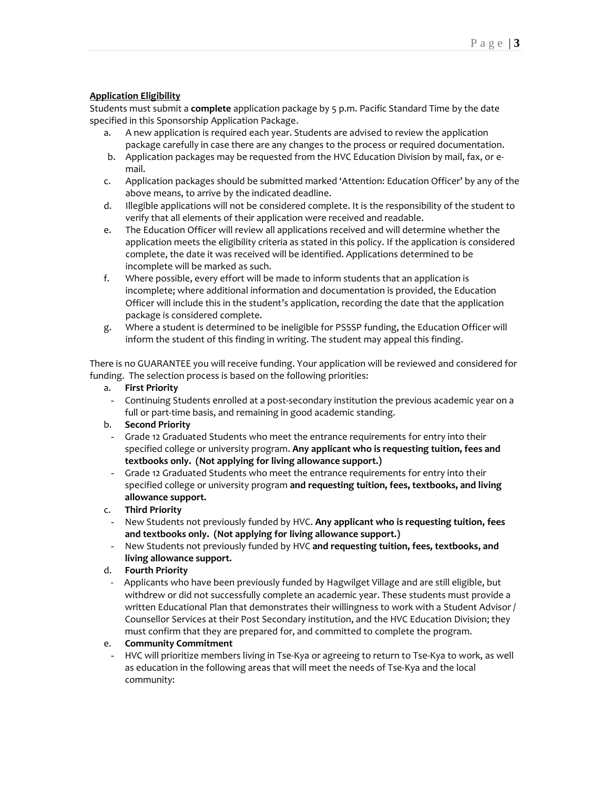#### **Application Eligibility**

Students must submit a **complete** application package by 5 p.m. Pacific Standard Time by the date specified in this Sponsorship Application Package.

- a. A new application is required each year. Students are advised to review the application package carefully in case there are any changes to the process or required documentation.
- b. Application packages may be requested from the HVC Education Division by mail, fax, or email.
- c. Application packages should be submitted marked 'Attention: Education Officer' by any of the above means, to arrive by the indicated deadline.
- d. Illegible applications will not be considered complete. It is the responsibility of the student to verify that all elements of their application were received and readable.
- e. The Education Officer will review all applications received and will determine whether the application meets the eligibility criteria as stated in this policy. If the application is considered complete, the date it was received will be identified. Applications determined to be incomplete will be marked as such.
- f. Where possible, every effort will be made to inform students that an application is incomplete; where additional information and documentation is provided, the Education Officer will include this in the student's application, recording the date that the application package is considered complete.
- g. Where a student is determined to be ineligible for PSSSP funding, the Education Officer will inform the student of this finding in writing. The student may appeal this finding.

There is no GUARANTEE you will receive funding. Your application will be reviewed and considered for funding. The selection process is based on the following priorities:

#### a. **First Priority**

- Continuing Students enrolled at a post-secondary institution the previous academic year on a full or part-time basis, and remaining in good academic standing.

#### b. **Second Priority**

- Grade 12 Graduated Students who meet the entrance requirements for entry into their specified college or university program. **Any applicant who is requesting tuition, fees and textbooks only. (Not applying for living allowance support.)**
- Grade 12 Graduated Students who meet the entrance requirements for entry into their specified college or university program **and requesting tuition, fees, textbooks, and living allowance support.**
- c. **Third Priority**
- New Students not previously funded by HVC. **Any applicant who is requesting tuition, fees and textbooks only. (Not applying for living allowance support.)**
- New Students not previously funded by HVC **and requesting tuition, fees, textbooks, and living allowance support.**
- d. **Fourth Priority**
- Applicants who have been previously funded by Hagwilget Village and are still eligible, but withdrew or did not successfully complete an academic year. These students must provide a written Educational Plan that demonstrates their willingness to work with a Student Advisor / Counsellor Services at their Post Secondary institution, and the HVC Education Division; they must confirm that they are prepared for, and committed to complete the program.

#### e. **Community Commitment**

- HVC will prioritize members living in Tse-Kya or agreeing to return to Tse-Kya to work, as well as education in the following areas that will meet the needs of Tse-Kya and the local community: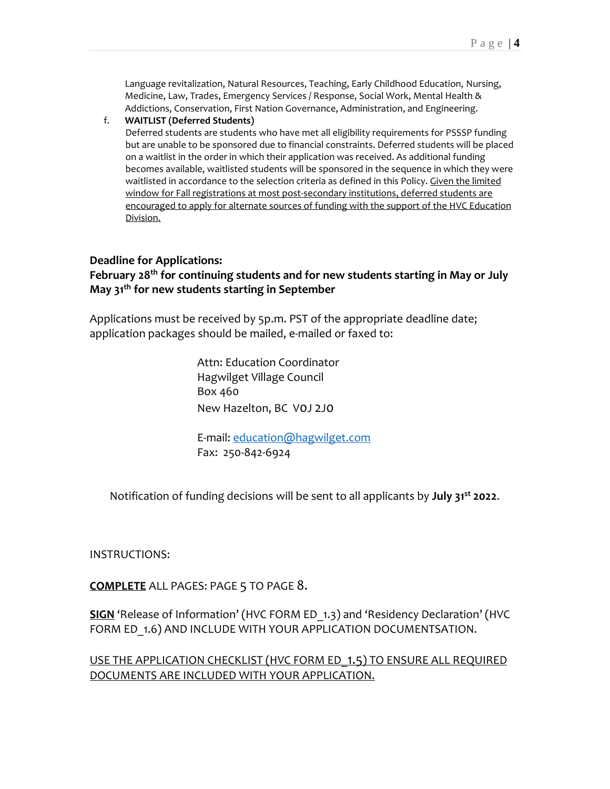Language revitalization, Natural Resources, Teaching, Early Childhood Education, Nursing, Medicine, Law, Trades, Emergency Services / Response, Social Work, Mental Health & Addictions, Conservation, First Nation Governance, Administration, and Engineering.

#### f. **WAITLIST (Deferred Students)**

Deferred students are students who have met all eligibility requirements for PSSSP funding but are unable to be sponsored due to financial constraints. Deferred students will be placed on a waitlist in the order in which their application was received. As additional funding becomes available, waitlisted students will be sponsored in the sequence in which they were waitlisted in accordance to the selection criteria as defined in this Policy. Given the limited window for Fall registrations at most post-secondary institutions, deferred students are encouraged to apply for alternate sources of funding with the support of the HVC Education Division.

#### **Deadline for Applications:**

# **February 28 th for continuing students and for new students starting in May or July May 31th for new students starting in September**

Applications must be received by 5p.m. PST of the appropriate deadline date; application packages should be mailed, e-mailed or faxed to:

> Attn: Education Coordinator Hagwilget Village Council Box 460 New Hazelton, BC V0J 2J0

E-mail: [education@hagwilget.com](mailto:education@hagwilget.com) Fax: 250-842-6924

Notification of funding decisions will be sent to all applicants by **July 31 st 2022**.

INSTRUCTIONS:

**COMPLETE** ALL PAGES: PAGE 5 TO PAGE 8.

**SIGN** 'Release of Information' (HVC FORM ED\_1.3) and 'Residency Declaration' (HVC FORM ED 1.6) AND INCLUDE WITH YOUR APPLICATION DOCUMENTSATION.

USE THE APPLICATION CHECKLIST (HVC FORM ED\_1.5) TO ENSURE ALL REQUIRED DOCUMENTS ARE INCLUDED WITH YOUR APPLICATION.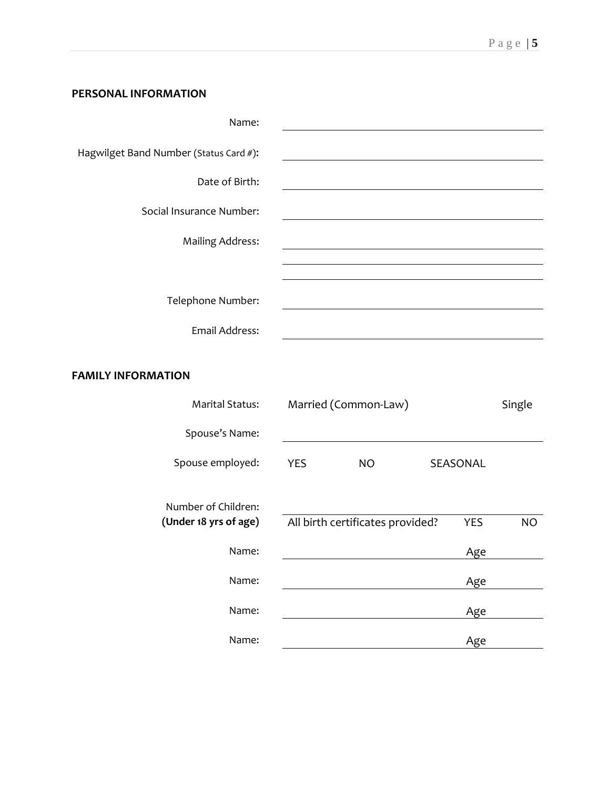# **PERSONAL INFORMATION**

| Name:                                  |  |
|----------------------------------------|--|
| Hagwilget Band Number (Status Card #): |  |
| Date of Birth:                         |  |
| Social Insurance Number:               |  |
| <b>Mailing Address:</b>                |  |
|                                        |  |
| Telephone Number:                      |  |
| Email Address:                         |  |
|                                        |  |
| <b>FAMILY INFORMATION</b>              |  |

| <b>Marital Status:</b>                       | Married (Common-Law) | Single                           |          |           |
|----------------------------------------------|----------------------|----------------------------------|----------|-----------|
| Spouse's Name:                               |                      |                                  |          |           |
| Spouse employed:                             | YES                  | NO.                              | SEASONAL |           |
| Number of Children:<br>(Under 18 yrs of age) |                      | All birth certificates provided? | YES      | <b>NO</b> |
| Name:                                        |                      |                                  | Age      |           |
| Name:                                        |                      |                                  | Age      |           |
| Name:                                        |                      |                                  | Age      |           |
| Name:                                        |                      |                                  | Age      |           |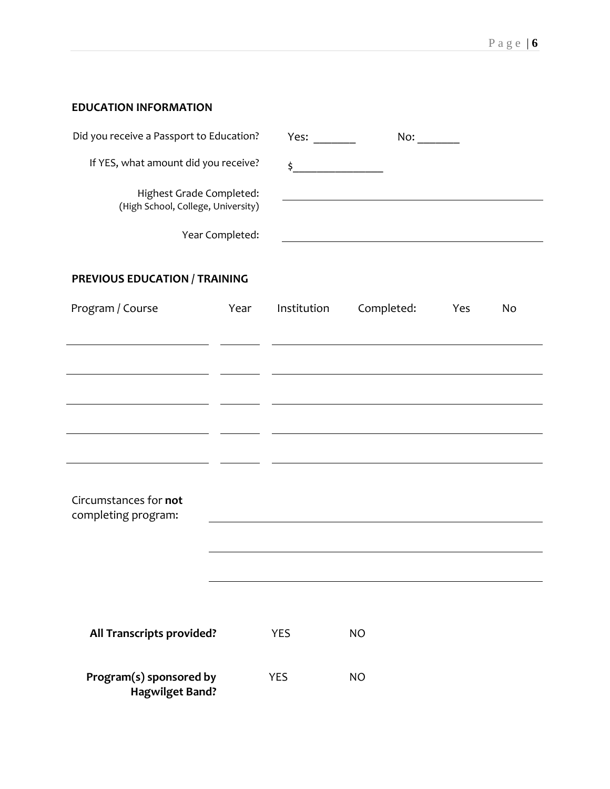# **EDUCATION INFORMATION**

| Did you receive a Passport to Education?                       | Yes: | No: |  |
|----------------------------------------------------------------|------|-----|--|
| If YES, what amount did you receive?                           |      |     |  |
| Highest Grade Completed:<br>(High School, College, University) |      |     |  |
| Year Completed:                                                |      |     |  |

# **PREVIOUS EDUCATION / TRAINING**

| Program / Course                                  | Year | Institution | Completed: | Yes | No |
|---------------------------------------------------|------|-------------|------------|-----|----|
|                                                   |      |             |            |     |    |
|                                                   |      |             |            |     |    |
|                                                   |      |             |            |     |    |
|                                                   |      |             |            |     |    |
| Circumstances for not<br>completing program:      |      |             |            |     |    |
|                                                   |      |             |            |     |    |
|                                                   |      |             |            |     |    |
|                                                   |      |             |            |     |    |
| All Transcripts provided?                         |      | <b>YES</b>  | <b>NO</b>  |     |    |
| Program(s) sponsored by<br><b>Hagwilget Band?</b> |      | <b>YES</b>  | <b>NO</b>  |     |    |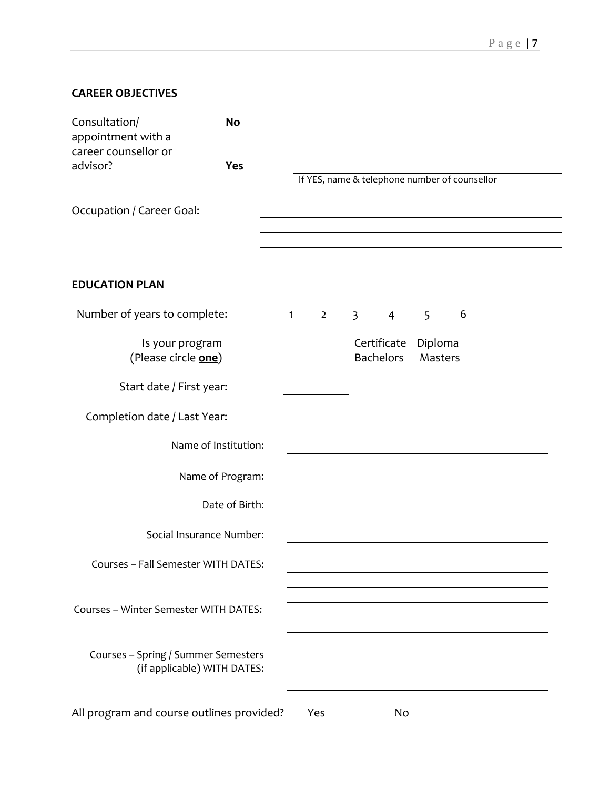# **CAREER OBJECTIVES**

| Consultation/<br>appointment with a       | <b>No</b>                   |                                               |                |             |                  |                                |   |  |  |
|-------------------------------------------|-----------------------------|-----------------------------------------------|----------------|-------------|------------------|--------------------------------|---|--|--|
| career counsellor or<br>advisor?          | <b>Yes</b>                  | If YES, name & telephone number of counsellor |                |             |                  |                                |   |  |  |
| Occupation / Career Goal:                 |                             |                                               |                |             |                  |                                |   |  |  |
|                                           |                             |                                               |                |             |                  |                                |   |  |  |
| <b>EDUCATION PLAN</b>                     |                             |                                               |                |             |                  |                                |   |  |  |
| Number of years to complete:              |                             | $\mathbf{1}$                                  | $\overline{2}$ | $3^{\circ}$ | $4 \quad$        | 5                              | 6 |  |  |
| Is your program<br>(Please circle one)    |                             |                                               |                |             | <b>Bachelors</b> | Certificate Diploma<br>Masters |   |  |  |
| Start date / First year:                  |                             |                                               |                |             |                  |                                |   |  |  |
| Completion date / Last Year:              |                             |                                               |                |             |                  |                                |   |  |  |
| Name of Institution:                      |                             |                                               |                |             |                  |                                |   |  |  |
| Name of Program:                          |                             |                                               |                |             |                  |                                |   |  |  |
| Date of Birth:                            |                             |                                               |                |             |                  |                                |   |  |  |
| Social Insurance Number:                  |                             |                                               |                |             |                  |                                |   |  |  |
| Courses - Fall Semester WITH DATES:       |                             |                                               |                |             |                  |                                |   |  |  |
| Courses - Winter Semester WITH DATES:     |                             |                                               |                |             |                  |                                |   |  |  |
| Courses - Spring / Summer Semesters       | (if applicable) WITH DATES: |                                               |                |             |                  |                                |   |  |  |
| All program and course outlines provided? |                             |                                               | Yes            |             | No               |                                |   |  |  |